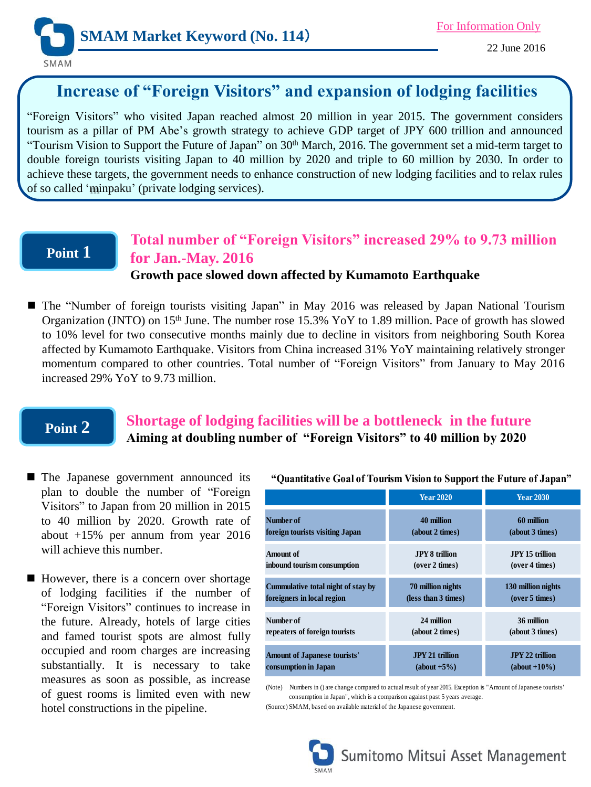

22 June 2016

# **Increase of "Foreign Visitors" and expansion of lodging facilities**

"Foreign Visitors" who visited Japan reached almost 20 million in year 2015. The government considers tourism as a pillar of PM Abe's growth strategy to achieve GDP target of JPY 600 trillion and announced "Tourism Vision to Support the Future of Japan" on 30<sup>th</sup> March, 2016. The government set a mid-term target to double foreign tourists visiting Japan to 40 million by 2020 and triple to 60 million by 2030. In order to achieve these targets, the government needs to enhance construction of new lodging facilities and to relax rules of so called 'minpaku' (private lodging services).

### **Point 1**

#### **Total number of "Foreign Visitors" increased 29% to 9.73 million for Jan.-May. 2016 Growth pace slowed down affected by Kumamoto Earthquake**

■ The "Number of foreign tourists visiting Japan" in May 2016 was released by Japan National Tourism Organization (JNTO) on 15<sup>th</sup> June. The number rose 15.3% YoY to 1.89 million. Pace of growth has slowed to 10% level for two consecutive months mainly due to decline in visitors from neighboring South Korea affected by Kumamoto Earthquake. Visitors from China increased 31% YoY maintaining relatively stronger momentum compared to other countries. Total number of "Foreign Visitors" from January to May 2016 increased 29% YoY to 9.73 million.

## **Point 2**

### **Shortage of lodging facilities will be a bottleneck in the future Aiming at doubling number of "Foreign Visitors" to 40 million by 2020**

- **The Japanese government announced its** plan to double the number of "Foreign Visitors" to Japan from 20 million in 2015 to 40 million by 2020. Growth rate of about +15% per annum from year 2016 will achieve this number.
- However, there is a concern over shortage of lodging facilities if the number of "Foreign Visitors" continues to increase in the future. Already, hotels of large cities and famed tourist spots are almost fully occupied and room charges are increasing substantially. It is necessary to take measures as soon as possible, as increase of guest rooms is limited even with new hotel constructions in the pipeline.

|                                     | <b>Year 2020</b>       | <b>Year 2030</b>       |
|-------------------------------------|------------------------|------------------------|
| Number of                           | 40 million             | 60 million             |
| foreign tourists visiting Japan     | (about 2 times)        | (about 3 times)        |
| Amount of                           | <b>JPV 8 trillion</b>  | <b>JPY 15 trillion</b> |
| inbound tourism consumption         | (over 2 times)         | (over 4 times)         |
| Cummulative total night of stay by  | 70 million nights      | 130 million nights     |
| foreigners in local region          | (less than 3 times)    | (over 5 times)         |
| Number of                           | 24 million             | 36 million             |
| repeaters of foreign tourists       | (about 2 times)        | (about 3 times)        |
| <b>Amount of Japanese tourists'</b> | <b>JPY 21 trillion</b> | <b>JPY 22 trillion</b> |
| consumption in Japan                | $(about +5%)$          | $(about +10\%)$        |

(Note) Numbers in () are change compared to actual result of year 2015. Exception is "Amount of Japanese tourists' consumption in Japan", which is a comparison against past 5 years average.

(Source) SMAM, based on available material of the Japanese government.